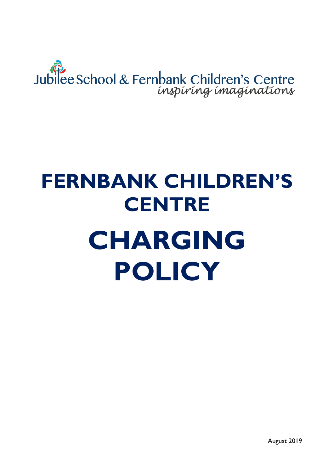# Jubilee School & Fernbank Children's Centre

## **FERNBANK CHILDREN'S CENTRE CHARGING POLICY**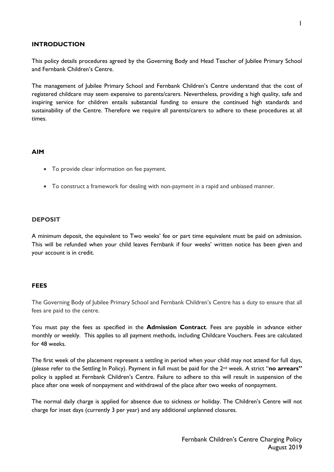#### **INTRODUCTION**

This policy details procedures agreed by the Governing Body and Head Teacher of Jubilee Primary School and Fernbank Children's Centre.

The management of Jubilee Primary School and Fernbank Children's Centre understand that the cost of registered childcare may seem expensive to parents/carers. Nevertheless, providing a high quality, safe and inspiring service for children entails substantial funding to ensure the continued high standards and sustainability of the Centre. Therefore we require all parents/carers to adhere to these procedures at all times.

#### **AIM**

- To provide clear information on fee payment.
- To construct a framework for dealing with non-payment in a rapid and unbiased manner.

#### **DEPOSIT**

A minimum deposit, the equivalent to Two weeks' fee or part time equivalent must be paid on admission. This will be refunded when your child leaves Fernbank if four weeks' written notice has been given and your account is in credit.

#### **FEES**

The Governing Body of Jubilee Primary School and Fernbank Children's Centre has a duty to ensure that all fees are paid to the centre.

You must pay the fees as specified in the **Admission Contract**. Fees are payable in advance either monthly or weekly. This applies to all payment methods, including Childcare Vouchers. Fees are calculated for 48 weeks.

The first week of the placement represent a settling in period when your child may not attend for full days, (please refer to the Settling In Policy). Payment in full must be paid for the 2nd week. A strict "**no arrears"** policy is applied at Fernbank Children's Centre. Failure to adhere to this will result in suspension of the place after one week of nonpayment and withdrawal of the place after two weeks of nonpayment.

The normal daily charge is applied for absence due to sickness or holiday. The Children's Centre will not charge for inset days (currently 3 per year) and any additional unplanned closures.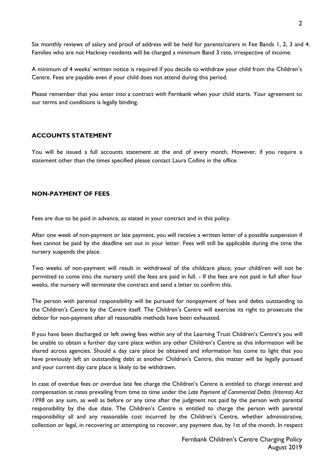Six monthly reviews of salary and proof of address will be held for parents/carers in Fee Bands 1, 2, 3 and 4. Families who are not Hackney residents will be charged a minimum Band 3 rate, irrespective of income.

A minimum of 4 weeks' written notice is required if you decide to withdraw your child from the Children's Centre. Fees are payable even if your child does not attend during this period.

Please remember that you enter into a contract with Fernbank when your child starts. Your agreement to our terms and conditions is legally binding.

#### **ACCOUNTS STATEMENT**

You will be issued a full accounts statement at the end of every month. However, if you require a statement other than the times specified please contact Laura Collins in the office.

#### **NON-PAYMENT OF FEES**

Fees are due to be paid in advance, as stated in your contract and in this policy.

After one week of non-payment or late payment, you will receive a written letter of a possible suspension if fees cannot be paid by the deadline set out in your letter. Fees will still be applicable during the time the nursery suspends the place.

Two weeks of non-payment will result in withdrawal of the childcare place; your child/ren will not be permitted to come into the nursery until the fees are paid in full. - If the fees are not paid in full after four weeks, the nursery will terminate the contract and send a letter to confirm this.

The person with parental responsibility will be pursued for nonpayment of fees and debts outstanding to the Children's Centre by the Centre itself. The Children's Centre will exercise its right to prosecute the debtor for non-payment after all reasonable methods have been exhausted.

If you have been discharged or left owing fees within any of the Learning Trust Children's Centre's you will be unable to obtain a further day care place within any other Children's Centre as this information will be shared across agencies. Should a day care place be obtained and information has come to light that you have previously left an outstanding debt at another Children's Centre, this matter will be legally pursued and your current day care place is likely to be withdrawn.

In case of overdue fees or overdue late fee charge the Children's Centre is entitled to charge interest and compensation at rates prevailing from time to time under the *Late Payment of Commercial Debts (Interest) Act 1998* on any sum, as well as before or any time after the judgment not paid by the person with parental responsibility by the due date. The Children's Centre is entitled to charge the person with parental responsibility all and any reasonable cost incurred by the Children's Centre, whether administrative, collection or legal, in recovering or attempting to recover, any payment due, by 1st of the month. In respect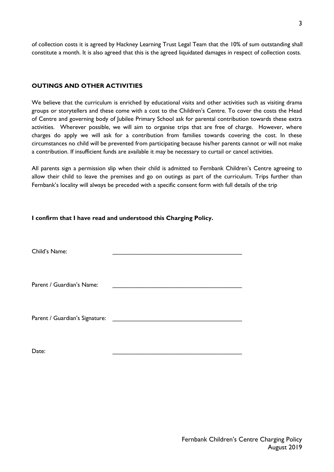of collection costs it is agreed by Hackney Learning Trust Legal Team that the 10% of sum outstanding shall constitute a month. It is also agreed that this is the agreed liquidated damages in respect of collection costs.

#### **OUTINGS AND OTHER ACTIVITIES**

We believe that the curriculum is enriched by educational visits and other activities such as visiting drama groups or storytellers and these come with a cost to the Children's Centre. To cover the costs the Head of Centre and governing body of Jubilee Primary School ask for parental contribution towards these extra activities. Wherever possible, we will aim to organise trips that are free of charge. However, where charges do apply we will ask for a contribution from families towards covering the cost. In these circumstances no child will be prevented from participating because his/her parents cannot or will not make a contribution. If insufficient funds are available it may be necessary to curtail or cancel activities.

All parents sign a permission slip when their child is admitted to Fernbank Children's Centre agreeing to allow their child to leave the premises and go on outings as part of the curriculum. Trips further than Fernbank's locality will always be preceded with a specific consent form with full details of the trip

#### **I confirm that I have read and understood this Charging Policy.**

| Child's Name:                  |  |
|--------------------------------|--|
| Parent / Guardian's Name:      |  |
| Parent / Guardian's Signature: |  |

Date: \_\_\_\_\_\_\_\_\_\_\_\_\_\_\_\_\_\_\_\_\_\_\_\_\_\_\_\_\_\_\_\_\_\_\_\_\_\_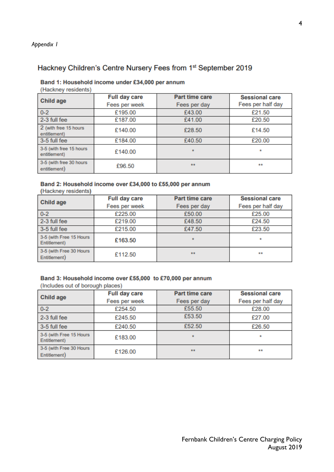### Hackney Children's Centre Nursery Fees from 1st September 2019

#### Band 1: Household income under £34,000 per annum

(Hackney residents)

| Child age                               | <b>Full day care</b> | <b>Part time care</b> | <b>Sessional care</b> |  |
|-----------------------------------------|----------------------|-----------------------|-----------------------|--|
|                                         | Fees per week        | Fees per day          | Fees per half day     |  |
| $0 - 2$                                 | £195.00              | £43.00                | £21.50                |  |
| 2-3 full fee                            | £187.00              | £41.00                | £20.50                |  |
| 2 (with free 15 hours)<br>entitlement)  | £140.00              | £28.50                | £14.50                |  |
| 3-5 full fee                            | £184.00              | £40.50                | £20.00                |  |
| 3-5 (with free 15 hours<br>entitlement) | £140.00              |                       | ٠                     |  |
| 3-5 (with free 30 hours<br>entitlement) | £96.50               | **                    | **                    |  |

#### Band 2: Household income over £34,000 to £55,000 per annum

(Hackney residents)

| <b>Child age</b>                        | <b>Full day care</b> | <b>Part time care</b> | <b>Sessional care</b> |  |
|-----------------------------------------|----------------------|-----------------------|-----------------------|--|
|                                         | Fees per week        | Fees per day          | Fees per half day     |  |
| $0 - 2$                                 | £225.00              | £50.00                | £25.00                |  |
| 2-3 full fee                            | £219.00              | £48.50                | £24.50                |  |
| 3-5 full fee                            | £215.00              | £47.50                | £23.50                |  |
| 3-5 (with Free 15 Hours<br>Entitlement) | £163.50              |                       | ٠                     |  |
| 3-5 (with Free 30 Hours<br>Entitlement) | £112.50              | **                    | **                    |  |

#### Band 3: Household income over £55,000 to £70,000 per annum

(Includes out of borough places)

| <b>Child age</b>                        | <b>Full day care</b> | <b>Part time care</b> | <b>Sessional care</b> |  |
|-----------------------------------------|----------------------|-----------------------|-----------------------|--|
|                                         | Fees per week        | Fees per day          | Fees per half day     |  |
| $0 - 2$                                 | £254.50              | £55.50                | £28.00                |  |
| 2-3 full fee                            | £245.50              | £53.50                | £27.00                |  |
| 3-5 full fee                            | £240.50              | £52.50                | £26.50                |  |
| 3-5 (with Free 15 Hours<br>Entitlement) | £183.00              |                       | ۰                     |  |
| 3-5 (with Free 30 Hours<br>Entitlement) | £126.00              | **                    | **                    |  |